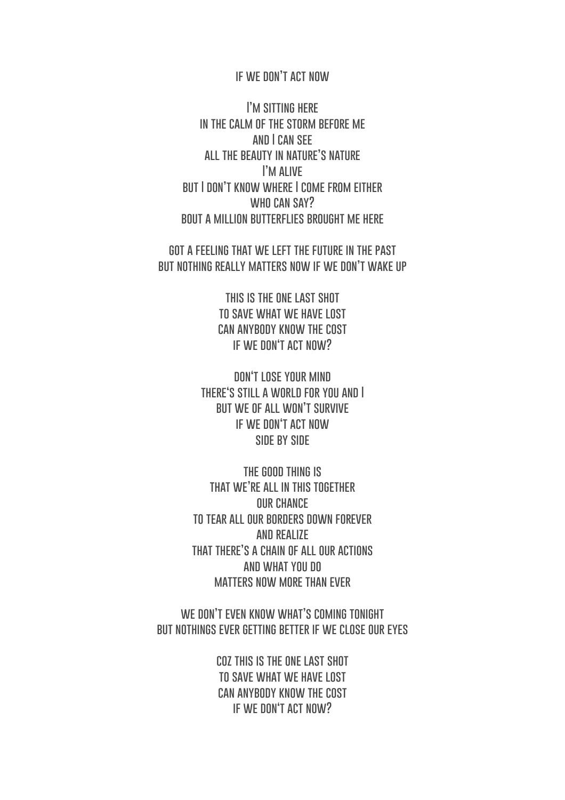## **if we don't act now**

**I'm sitting here in the calm of the storm before me and I can see all the beauty in nature's nature I'm alive but I don't know where I come from either who can say? bout a million butterflies brought me here**

**got a feeling that we left the future in the past but nothing really matters now if we don't wake up**

> **this is the one last shot to save what we have lost can anybody know the cost if we don't act now?**

**don't lose your mind there's still a world for you and I but we of all won't survive if we don't act now SIDE BY SIDE** 

**the good thing is that we're all in this together our chance to tear all our borders down forever and realize that there's a chain of all our actions and what you do matters now more than ever**

**we don't even know what's coming tonight but nothings ever getting better if we close our eyes**

> **coz this is the one last shot to save what we have lost can anybody know the cost if we don't act now?**